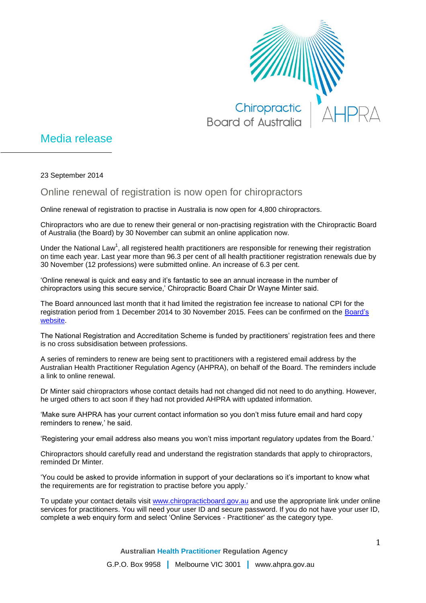

## Media release

23 September 2014

## Online renewal of registration is now open for chiropractors

Online renewal of registration to practise in Australia is now open for 4,800 chiropractors.

Chiropractors who are due to renew their general or non-practising registration with the Chiropractic Board of Australia (the Board) by 30 November can submit an online application now.

Under the National Law<sup>1</sup>, all registered health practitioners are responsible for renewing their registration on time each year. Last year more than 96.3 per cent of all health practitioner registration renewals due by 30 November (12 professions) were submitted online. An increase of 6.3 per cent.

'Online renewal is quick and easy and it's fantastic to see an annual increase in the number of chiropractors using this secure service,' Chiropractic Board Chair Dr Wayne Minter said.

The Board announced last month that it had limited the registration fee increase to national CPI for the registration period from 1 December 2014 to 30 November 2015. Fees can be confirmed on the [Board's](http://www.chiropracticboard.gov.au/) [website.](http://www.chiropracticboard.gov.au/)

The National Registration and Accreditation Scheme is funded by practitioners' registration fees and there is no cross subsidisation between professions.

A series of reminders to renew are being sent to practitioners with a registered email address by the Australian Health Practitioner Regulation Agency (AHPRA), on behalf of the Board. The reminders include a link to online renewal.

Dr Minter said chiropractors whose contact details had not changed did not need to do anything. However, he urged others to act soon if they had not provided AHPRA with updated information.

'Make sure AHPRA has your current contact information so you don't miss future email and hard copy reminders to renew,' he said.

'Registering your email address also means you won't miss important regulatory updates from the Board.'

Chiropractors should carefully read and understand the registration standards that apply to chiropractors, reminded Dr Minter.

'You could be asked to provide information in support of your declarations so it's important to know what the requirements are for registration to practise before you apply.'

To update your contact details visit [www.chiropracticboard.gov.au](http://www.chiropracticboard.gov.au/) and use the appropriate link under online services for practitioners. You will need your user ID and secure password. If you do not have your user ID, complete a web enquiry form and select 'Online Services - Practitioner' as the category type.